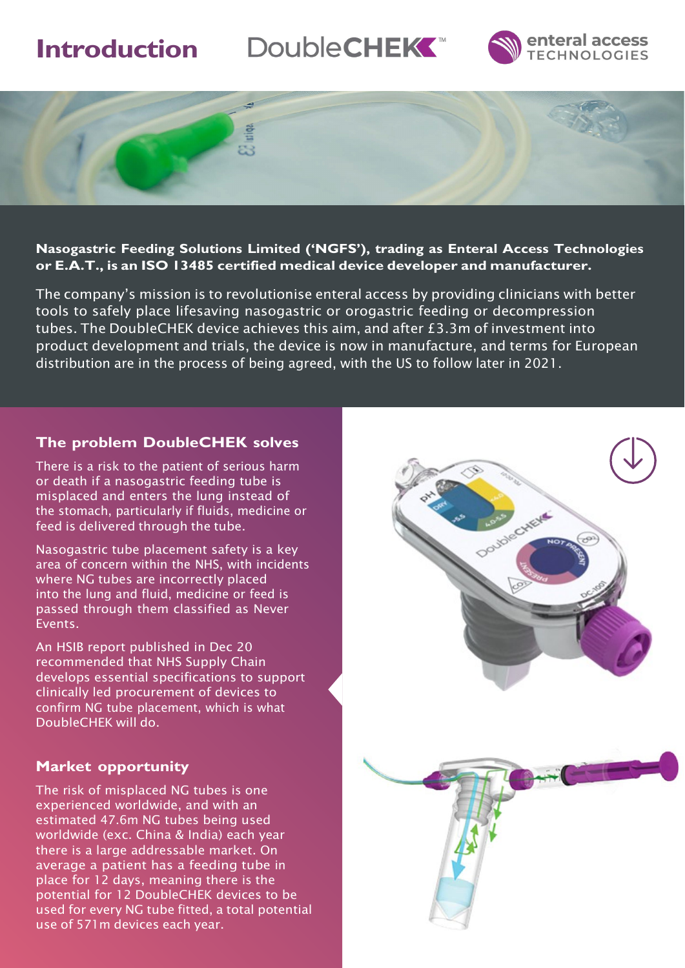# **Introduction**







#### **Nasogastric Feeding Solutions Limited ('NGFS'), trading as Enteral Access Technologies or E.A.T., is an ISO 13485 certified medical device developer and manufacturer.**

The company's mission is to revolutionise enteral access by providing clinicians with better tools to safely place lifesaving nasogastric or orogastric feeding or decompression tubes. The DoubleCHEK device achieves this aim, and after £3.3m of investment into product development and trials, the device is now in manufacture, and terms for European distribution are in the process of being agreed, with the US to follow later in 2021.

### **The problem DoubleCHEK solves**

There is a risk to the patient of serious harm or death if a nasogastric feeding tube is misplaced and enters the lung instead of the stomach, particularly if fluids, medicine or feed is delivered through the tube.

Nasogastric tube placement safety is a key area of concern within the NHS, with incidents where NG tubes are incorrectly placed into the lung and fluid, medicine or feed is passed through them classified as Never Events.

An HSIB report published in Dec 20 recommended that NHS Supply Chain develops essential specifications to support clinically led procurement of devices to confirm NG tube placement, which is what DoubleCHEK will do.

## **Market opportunity**

The risk of misplaced NG tubes is one experienced worldwide, and with an estimated 47.6m NG tubes being used worldwide (exc. China & India) each year there is a large addressable market. On average a patient has a feeding tube in place for 12 days, meaning there is the potential for 12 DoubleCHEK devices to be used for every NG tube fitted, a total potential use of 571m devices each year.